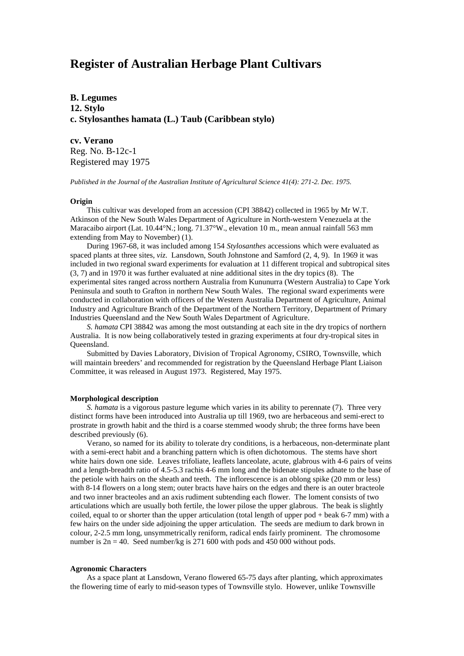# **Register of Australian Herbage Plant Cultivars**

**B. Legumes 12. Stylo c. Stylosanthes hamata (L.) Taub (Caribbean stylo)**

**cv. Verano**

Reg. No. B-12c-1 Registered may 1975

*Published in the Journal of the Australian Institute of Agricultural Science 41(4): 271-2. Dec. 1975.*

### **Origin**

This cultivar was developed from an accession (CPI 38842) collected in 1965 by Mr W.T. Atkinson of the New South Wales Department of Agriculture in North-western Venezuela at the Maracaibo airport (Lat. 10.44°N.; long. 71.37°W., elevation 10 m., mean annual rainfall 563 mm extending from May to November) (1).

During 1967-68, it was included among 154 *Stylosanthes* accessions which were evaluated as spaced plants at three sites, *viz*. Lansdown, South Johnstone and Samford (2, 4, 9). In 1969 it was included in two regional sward experiments for evaluation at 11 different tropical and subtropical sites (3, 7) and in 1970 it was further evaluated at nine additional sites in the dry topics (8). The experimental sites ranged across northern Australia from Kununurra (Western Australia) to Cape York Peninsula and south to Grafton in northern New South Wales. The regional sward experiments were conducted in collaboration with officers of the Western Australia Department of Agriculture, Animal Industry and Agriculture Branch of the Department of the Northern Territory, Department of Primary Industries Queensland and the New South Wales Department of Agriculture.

*S. hamata* CPI 38842 was among the most outstanding at each site in the dry tropics of northern Australia. It is now being collaboratively tested in grazing experiments at four dry-tropical sites in Queensland.

Submitted by Davies Laboratory, Division of Tropical Agronomy, CSIRO, Townsville, which will maintain breeders' and recommended for registration by the Queensland Herbage Plant Liaison Committee, it was released in August 1973. Registered, May 1975.

### **Morphological description**

*S. hamata* is a vigorous pasture legume which varies in its ability to perennate (7). Three very distinct forms have been introduced into Australia up till 1969, two are herbaceous and semi-erect to prostrate in growth habit and the third is a coarse stemmed woody shrub; the three forms have been described previously (6).

Verano, so named for its ability to tolerate dry conditions, is a herbaceous, non-determinate plant with a semi-erect habit and a branching pattern which is often dichotomous. The stems have short white hairs down one side. Leaves trifoliate, leaflets lanceolate, acute, glabrous with 4-6 pairs of veins and a length-breadth ratio of 4.5-5.3 rachis 4-6 mm long and the bidenate stipules adnate to the base of the petiole with hairs on the sheath and teeth. The inflorescence is an oblong spike (20 mm or less) with 8-14 flowers on a long stem; outer bracts have hairs on the edges and there is an outer bracteole and two inner bracteoles and an axis rudiment subtending each flower. The loment consists of two articulations which are usually both fertile, the lower pilose the upper glabrous. The beak is slightly coiled, equal to or shorter than the upper articulation (total length of upper pod + beak 6-7 mm) with a few hairs on the under side adjoining the upper articulation. The seeds are medium to dark brown in colour, 2-2.5 mm long, unsymmetrically reniform, radical ends fairly prominent. The chromosome number is  $2n = 40$ . Seed number/kg is 271 600 with pods and 450 000 without pods.

## **Agronomic Characters**

As a space plant at Lansdown, Verano flowered 65-75 days after planting, which approximates the flowering time of early to mid-season types of Townsville stylo. However, unlike Townsville